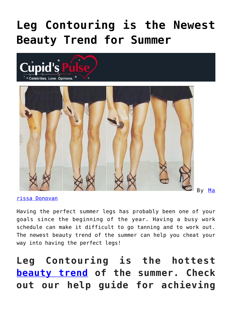## **[Leg Contouring is the Newest](https://cupidspulse.com/119221/leg-contouring-newest-beauty-trend-summer/) [Beauty Trend for Summer](https://cupidspulse.com/119221/leg-contouring-newest-beauty-trend-summer/)**





[rissa Donovan](http://cupidspulse.com/118743/marissa-donovan/)

Having the perfect summer legs has probably been one of your goals since the beginning of the year. Having a busy work schedule can make it difficult to go tanning and to work out. The newest beauty trend of the summer can help you cheat your way into having the perfect legs!

## **Leg Contouring is the hottest [beauty trend](http://cupidspulse.com/beauty/) of the summer. Check out our help guide for achieving**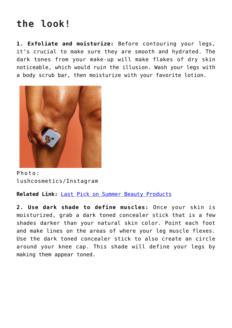## **the look!**

**1. Exfoliate and moisturize:** Before contouring your legs, it's crucial to make sure they are smooth and hydrated. The dark tones from your make-up will make flakes of dry skin noticeable, which would ruin the illusion. Wash your legs with a body scrub bar, then moisturize with your favorite lotion.



Photo: lushcosmetics/Instagram

**Related Link:** [Last Pick on Summer Beauty Products](http://cupidspulse.com/112502/summer-beauty-products/)

**2. Use dark shade to define muscles:** Once your skin is moisturized, grab a dark toned concealer stick that is a few shades darker than your natural skin color. Point each foot and make lines on the areas of where your leg muscle flexes. Use the dark toned concealer stick to also create an circle around your knee cap. This shade will define your legs by making them appear toned.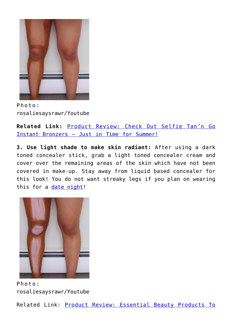

Photo: rosaliesaysrawr/Youtube

**Related Link:** [Product Review: Check Out Selfie Tan'n Go](http://cupidspulse.com/90149/product-review-selfie-tan-n-go-instant-bronzer/) [Instant Bronzers — Just in Time for Summer!](http://cupidspulse.com/90149/product-review-selfie-tan-n-go-instant-bronzer/)

**3. Use light shade to make skin radiant:** After using a dark toned concealer stick, grab a light toned concealer cream and cover over the remaining areas of the skin which have not been covered in make-up. Stay away from liquid based concealer for this look! You do not want streaky legs if you plan on wearing this for a [date night](http://cupidspulse.com/love/weekend-date-ideas/)!



Photo: rosaliesaysrawr/Youtube

Related Link: [Product Review: Essential Beauty Products To](http://cupidspulse.com/114873/product-review-beauty-products-first-date-togospa/)